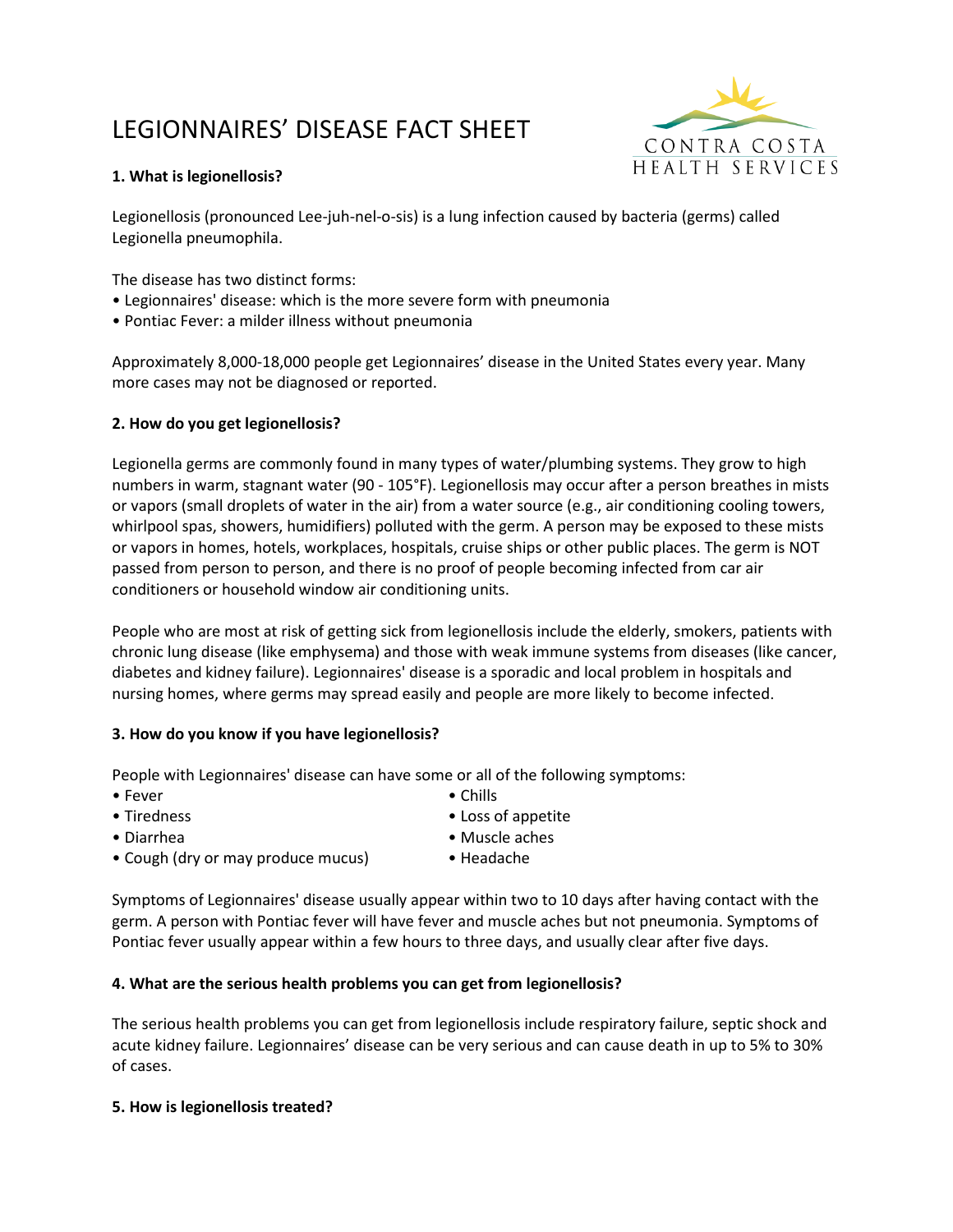# LEGIONNAIRES' DISEASE FACT SHEET



## **1. What is legionellosis?**

Legionellosis (pronounced Lee-juh-nel-o-sis) is a lung infection caused by bacteria (germs) called Legionella pneumophila.

The disease has two distinct forms:

- Legionnaires' disease: which is the more severe form with pneumonia
- Pontiac Fever: a milder illness without pneumonia

Approximately 8,000-18,000 people get Legionnaires' disease in the United States every year. Many more cases may not be diagnosed or reported.

## **2. How do you get legionellosis?**

Legionella germs are commonly found in many types of water/plumbing systems. They grow to high numbers in warm, stagnant water (90 - 105°F). Legionellosis may occur after a person breathes in mists or vapors (small droplets of water in the air) from a water source (e.g., air conditioning cooling towers, whirlpool spas, showers, humidifiers) polluted with the germ. A person may be exposed to these mists or vapors in homes, hotels, workplaces, hospitals, cruise ships or other public places. The germ is NOT passed from person to person, and there is no proof of people becoming infected from car air conditioners or household window air conditioning units.

People who are most at risk of getting sick from legionellosis include the elderly, smokers, patients with chronic lung disease (like emphysema) and those with weak immune systems from diseases (like cancer, diabetes and kidney failure). Legionnaires' disease is a sporadic and local problem in hospitals and nursing homes, where germs may spread easily and people are more likely to become infected.

#### **3. How do you know if you have legionellosis?**

People with Legionnaires' disease can have some or all of the following symptoms:

- 
- Fever Chills
- 
- Tiredness Loss of appetite
- Diarrhea Muscle aches
	-
- Cough (dry or may produce mucus) Headache

Symptoms of Legionnaires' disease usually appear within two to 10 days after having contact with the germ. A person with Pontiac fever will have fever and muscle aches but not pneumonia. Symptoms of Pontiac fever usually appear within a few hours to three days, and usually clear after five days.

## **4. What are the serious health problems you can get from legionellosis?**

The serious health problems you can get from legionellosis include respiratory failure, septic shock and acute kidney failure. Legionnaires' disease can be very serious and can cause death in up to 5% to 30% of cases.

#### **5. How is legionellosis treated?**